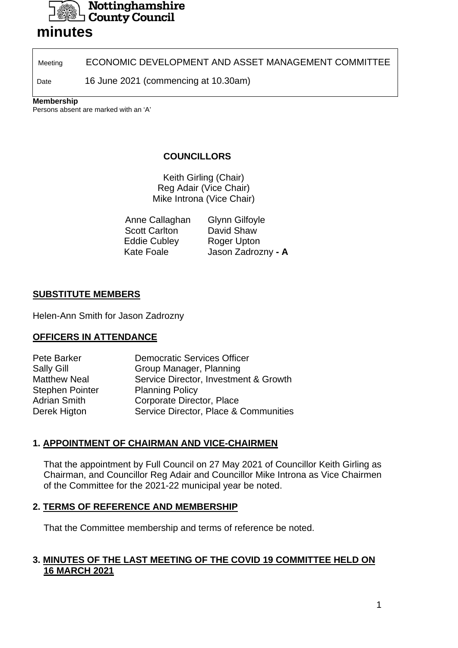

# **minutes**

Meeting **ECONOMIC DEVELOPMENT AND ASSET MANAGEMENT COMMITTEE** 

Date 16 June 2021 (commencing at 10.30am)

#### **Membership**

Persons absent are marked with an 'A'

## **COUNCILLORS**

Keith Girling (Chair) Reg Adair (Vice Chair) Mike Introna (Vice Chair)

| Anne Callaghan       | <b>Glynn Gilfoyle</b> |
|----------------------|-----------------------|
| <b>Scott Carlton</b> | David Shaw            |
| <b>Eddie Cubley</b>  | Roger Upton           |
| <b>Kate Foale</b>    | Jason Zadrozny - A    |

### **SUBSTITUTE MEMBERS**

Helen-Ann Smith for Jason Zadrozny

### **OFFICERS IN ATTENDANCE**

| Service Director, Investment & Growth |
|---------------------------------------|
|                                       |
|                                       |
| Service Director, Place & Communities |
|                                       |

### **1. APPOINTMENT OF CHAIRMAN AND VICE-CHAIRMEN**

That the appointment by Full Council on 27 May 2021 of Councillor Keith Girling as Chairman, and Councillor Reg Adair and Councillor Mike Introna as Vice Chairmen of the Committee for the 2021-22 municipal year be noted.

#### **2. TERMS OF REFERENCE AND MEMBERSHIP**

That the Committee membership and terms of reference be noted.

### **3. MINUTES OF THE LAST MEETING OF THE COVID 19 COMMITTEE HELD ON 16 MARCH 2021**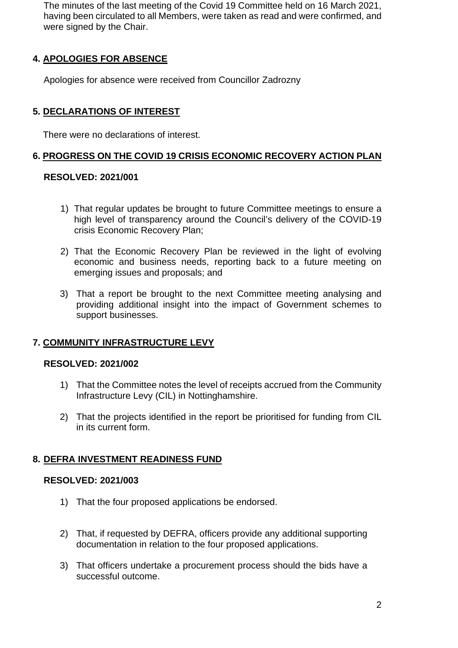The minutes of the last meeting of the Covid 19 Committee held on 16 March 2021, having been circulated to all Members, were taken as read and were confirmed, and were signed by the Chair.

## **4. APOLOGIES FOR ABSENCE**

Apologies for absence were received from Councillor Zadrozny

### **5. DECLARATIONS OF INTEREST**

There were no declarations of interest.

#### **6. PROGRESS ON THE COVID 19 CRISIS ECONOMIC RECOVERY ACTION PLAN**

#### **RESOLVED: 2021/001**

- 1) That regular updates be brought to future Committee meetings to ensure a high level of transparency around the Council's delivery of the COVID-19 crisis Economic Recovery Plan;
- 2) That the Economic Recovery Plan be reviewed in the light of evolving economic and business needs, reporting back to a future meeting on emerging issues and proposals; and
- 3) That a report be brought to the next Committee meeting analysing and providing additional insight into the impact of Government schemes to support businesses.

### **7. COMMUNITY INFRASTRUCTURE LEVY**

#### **RESOLVED: 2021/002**

- 1) That the Committee notes the level of receipts accrued from the Community Infrastructure Levy (CIL) in Nottinghamshire.
- 2) That the projects identified in the report be prioritised for funding from CIL in its current form.

#### **8. DEFRA INVESTMENT READINESS FUND**

#### **RESOLVED: 2021/003**

- 1) That the four proposed applications be endorsed.
- 2) That, if requested by DEFRA, officers provide any additional supporting documentation in relation to the four proposed applications.
- 3) That officers undertake a procurement process should the bids have a successful outcome.